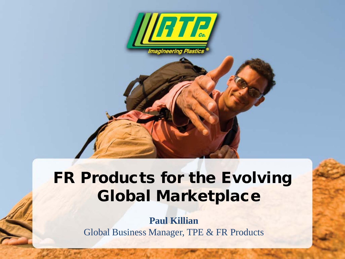

#### FR Products for the Evolving Global Marketplace

**Paul Killian** Global Business Manager, TPE & FR Products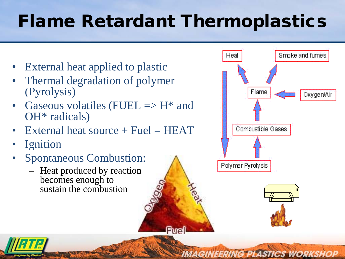# Flame Retardant Thermoplastics

Aec

**Fuel** 

- External heat applied to plastic
- Thermal degradation of polymer (Pyrolysis)
- Gaseous volatiles (FUEL  $\Rightarrow$  H<sup>\*</sup> and OH\* radicals)
- External heat source  $+$  Fuel  $=$  HEAT
- **Ignition**
- Spontaneous Combustion:
	- Heat produced by reaction becomes enough to sustain the combustion





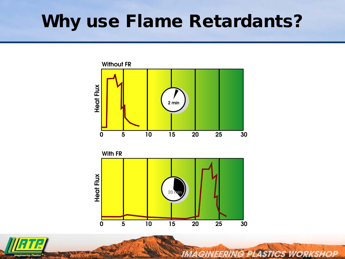#### Why use Flame Retardants?



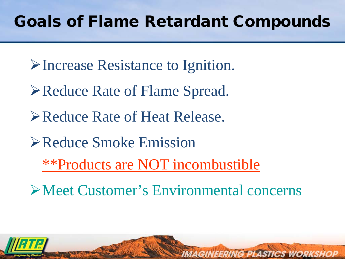#### Goals of Flame Retardant Compounds

- Increase Resistance to Ignition.
- **≻Reduce Rate of Flame Spread.**
- Reduce Rate of Heat Release.
- Reduce Smoke Emission
	- \*\*Products are NOT incombustible
- Meet Customer's Environmental concerns

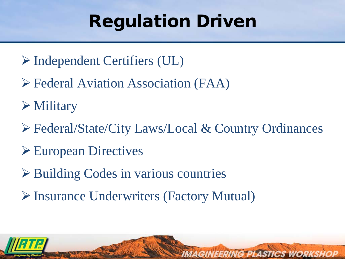# Regulation Driven

- Independent Certifiers (UL)
- Federal Aviation Association (FAA)
- Military
- Federal/State/City Laws/Local & Country Ordinances

- European Directives
- **► Building Codes in various countries**
- Insurance Underwriters (Factory Mutual)

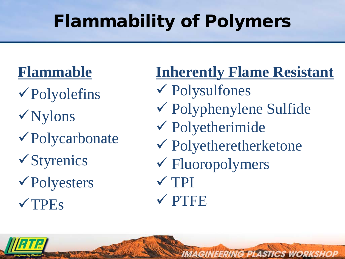# Flammability of Polymers

#### **Flammable**

- Polyolefins
- Nylons
- Polycarbonate
- Styrenics
- Polyesters
- **VTPEs**

**Inherently Flame Resistant** Polysulfones Polyphenylene Sulfide Polyetherimide Polyetheretherketone Fluoropolymers  $\sqrt{TPI}$ **VPTFE** 

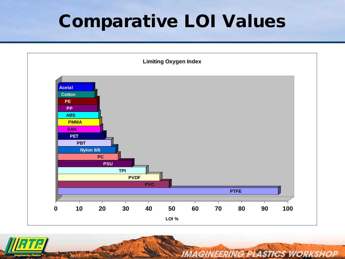## Comparative LOI Values



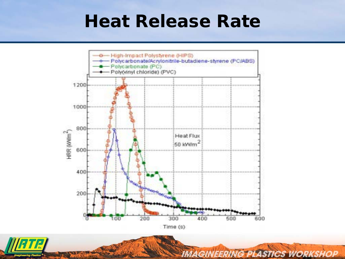#### Heat Release Rate



Time (s)

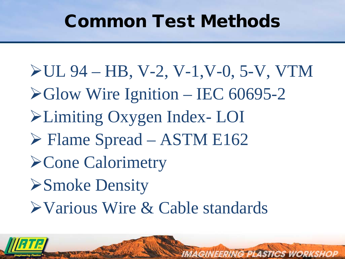#### Common Test Methods

 $\blacktriangleright$  UL 94 – HB, V-2, V-1, V-0, 5-V, VTM  $\blacktriangleright$  Glow Wire Ignition – IEC 60695-2 Limiting Oxygen Index- LOI  $\triangleright$  Flame Spread – ASTM E162 Cone Calorimetry Smoke Density Various Wire & Cable standards

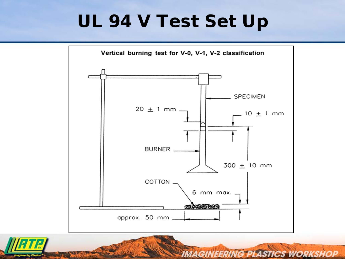## UL 94 V Test Set Up



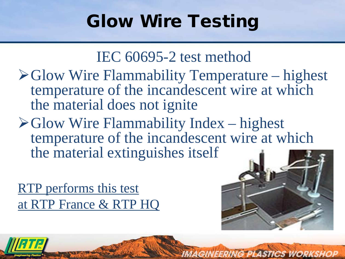# Glow Wire Testing

 $\triangleright$  Glow Wire Flammability Temperature – highest temperature of the incandescent wire at which the material does not ignite

IEC 60695-2 test method

 $\triangleright$  Glow Wire Flammability Index – highest temperature of the incandescent wire at which the material extinguishes itself

RTP performs this test at RTP France & RTP HQ



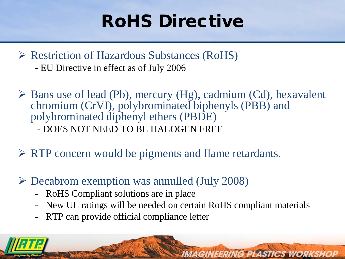# RoHS Directive

- $\triangleright$  Restriction of Hazardous Substances (RoHS) - EU Directive in effect as of July 2006
- $\triangleright$  Bans use of lead (Pb), mercury (Hg), cadmium (Cd), hexavalent chromium (CrVI), polybrominated biphenyls (PBB) and polybrominated diphenyl ethers (PBDE) - DOES NOT NEED TO BE HALOGEN FREE
- RTP concern would be pigments and flame retardants.
- $\triangleright$  Decabrom exemption was annulled (July 2008)
	- RoHS Compliant solutions are in place
	- New UL ratings will be needed on certain RoHS compliant materials

**IMAGINEERING PLASTICS WORKSHOP** 

RTP can provide official compliance letter

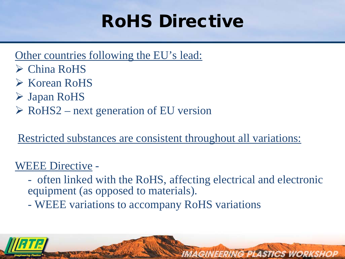# RoHS Directive

#### Other countries following the EU's lead:

- China RoHS
- **► Korean RoHS**
- Japan RoHS
- $\triangleright$  RoHS2 next generation of EU version

#### Restricted substances are consistent throughout all variations:

#### WEEE Directive -

- often linked with the RoHS, affecting electrical and electronic equipment (as opposed to materials).

**IMAGINEERING PLASTICS WORKSHOP** 

- WEEE variations to accompany RoHS variations

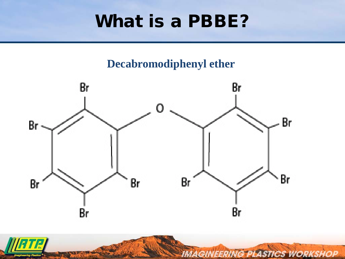#### What is a PBBE?

#### **Decabromodiphenyl ether**



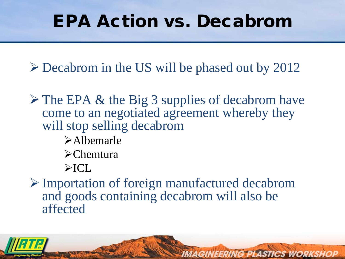### EPA Action vs. Decabrom

Decabrom in the US will be phased out by 2012

 $\triangleright$  The EPA & the Big 3 supplies of decabrom have come to an negotiated agreement whereby they will stop selling decabrom

- Albemarle
- **>**Chemtura
- $\triangleright$ ICL

 Importation of foreign manufactured decabrom and goods containing decabrom will also be affected

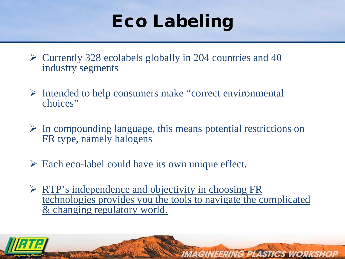# Eco Labeling

- $\triangleright$  Currently 328 ecolabels globally in 204 countries and 40 industry segments
- $\triangleright$  Intended to help consumers make "correct environmental" choices"
- $\triangleright$  In compounding language, this means potential restrictions on FR type, namely halogens
- $\triangleright$  Each eco-label could have its own unique effect.
- $\triangleright$  RTP's independence and objectivity in choosing FR technologies provides you the tools to navigate the complicated & changing regulatory world.

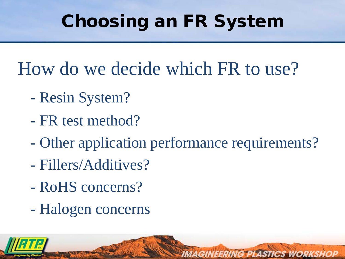# Choosing an FR System

How do we decide which FR to use?

- Resin System?
- FR test method?
- Other application performance requirements?

- Fillers/Additives?
- RoHS concerns?
- Halogen concerns

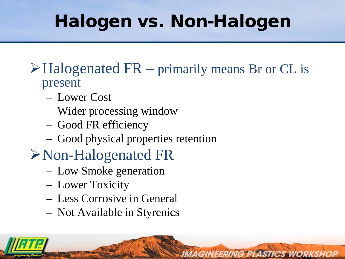# Halogen vs. Non-Halogen

#### $\triangleright$  Halogenated FR – primarily means Br or CL is present

- Lower Cost
- Wider processing window
- Good FR efficiency
- Good physical properties retention
- Non-Halogenated FR
	- Low Smoke generation
	- Lower Toxicity
	- Less Corrosive in General
	- Not Available in Styrenics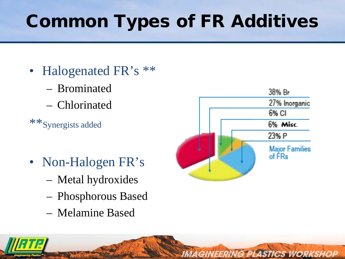# Common Types of FR Additives

- Halogenated FR's \*\*
	- Brominated
	- Chlorinated
- \*\*Synergists added
- Non-Halogen FR's
	- Metal hydroxides
	- Phosphorous Based
	- Melamine Based



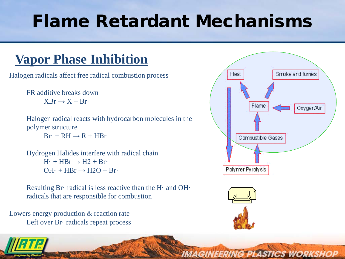## Flame Retardant Mechanisms

#### **Vapor Phase Inhibition**

Halogen radicals affect free radical combustion process

FR additive breaks down  $XBr \rightarrow X + Br$ 

Halogen radical reacts with hydrocarbon molecules in the polymer structure

 $Br· + RH \rightarrow R + HBr$ 

Hydrogen Halides interfere with radical chain  $H_1$  + HBr  $\rightarrow$  H2 + Br·  $OH·$  + HBr  $\rightarrow$  H2O + Br·

Resulting Br· radical is less reactive than the H· and OH· radicals that are responsible for combustion

Lowers energy production & reaction rate Left over Br· radicals repeat process





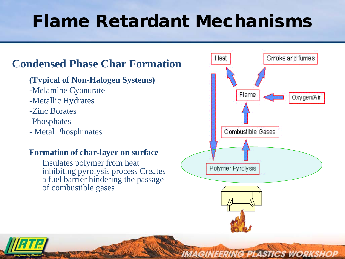### Flame Retardant Mechanisms

#### **Condensed Phase Char Formation**

- **(Typical of Non-Halogen Systems)**
- -Melamine Cyanurate
- -Metallic Hydrates
- -Zinc Borates
- -Phosphates
- Metal Phosphinates

#### **Formation of char-layer on surface**

Insulates polymer from heat inhibiting pyrolysis process Creates a fuel barrier hindering the passage of combustible gases



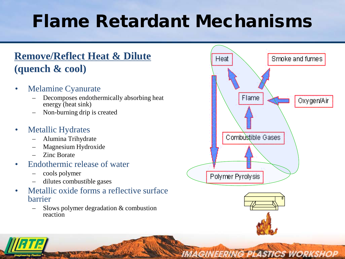## Flame Retardant Mechanisms

#### **Remove/Reflect Heat & Dilute (quench & cool)**

- Melamine Cyanurate
	- Decomposes endothermically absorbing heat energy (heat sink)
	- Non-burning drip is created
- Metallic Hydrates
	- Alumina Trihydrate
	- Magnesium Hydroxide
	- Zinc Borate
- Endothermic release of water
	- cools polymer
	- dilutes combustible gases
- Metallic oxide forms a reflective surface barrier
	- Slows polymer degradation & combustion reaction



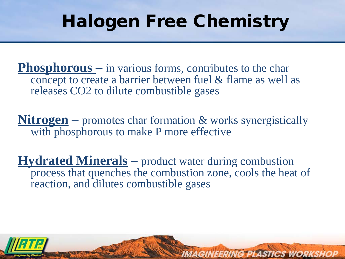## Halogen Free Chemistry

**Phosphorous** – in various forms, contributes to the char concept to create a barrier between fuel & flame as well as releases CO2 to dilute combustible gases

**Nitrogen** – promotes char formation & works synergistically with phosphorous to make P more effective

**Hydrated Minerals** – product water during combustion process that quenches the combustion zone, cools the heat of reaction, and dilutes combustible gases

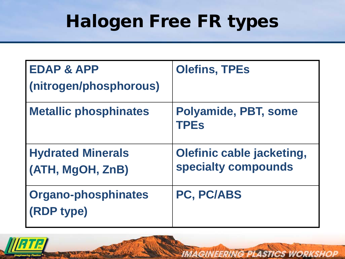# Halogen Free FR types

| <b>EDAP &amp; APP</b>                    | <b>Olefins, TPEs</b>                                    |  |
|------------------------------------------|---------------------------------------------------------|--|
| (nitrogen/phosphorous)                   |                                                         |  |
| <b>Metallic phosphinates</b>             | Polyamide, PBT, some<br><b>TPEs</b>                     |  |
| <b>Hydrated Minerals</b>                 | <b>Olefinic cable jacketing,</b><br>specialty compounds |  |
| (ATH, MgOH, ZnB)                         |                                                         |  |
| <b>Organo-phosphinates</b><br>(RDP type) | PC, PC/ABS                                              |  |
|                                          |                                                         |  |

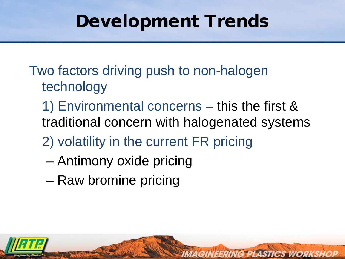## Development Trends

- Two factors driving push to non-halogen technology
	- 1) Environmental concerns this the first & traditional concern with halogenated systems

- 2) volatility in the current FR pricing
	- Antimony oxide pricing
	- Raw bromine pricing

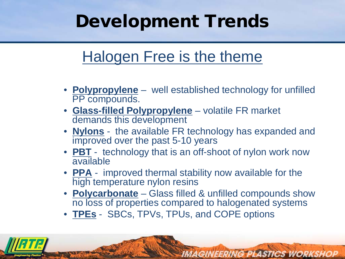# Development Trends

#### Halogen Free is the theme

- **Polypropylene** well established technology for unfilled PP compounds.
- **Glass-filled Polypropylene** volatile FR market demands this development
- **Nylons** the available FR technology has expanded and improved over the past 5-10 years
- **PBT** technology that is an off-shoot of nylon work now available
- **PPA** improved thermal stability now available for the high temperature nylon resins
- **Polycarbonate** Glass filled & unfilled compounds show no loss of properties compared to halogenated systems

**IMAGINEERING PLASTICS WORKSHOP** 

• **TPEs** - SBCs, TPVs, TPUs, and COPE options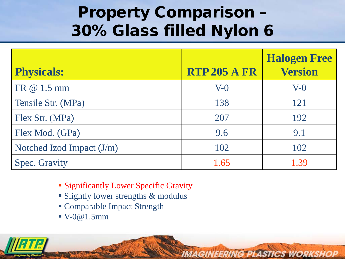#### Property Comparison – 30% Glass filled Nylon 6

| <b>Physicals:</b>         | <b>RTP 205 A FR</b> | <b>Halogen Free</b><br><b>Version</b> |
|---------------------------|---------------------|---------------------------------------|
| FR @ 1.5 mm               | $V-0$               | $V-0$                                 |
| Tensile Str. (MPa)        | 138                 | 121                                   |
| Flex Str. (MPa)           | 207                 | 192                                   |
| Flex Mod. (GPa)           | 9.6                 | 9.1                                   |
| Notched Izod Impact (J/m) | 102                 | 102                                   |
| <b>Spec. Gravity</b>      | 1.65                | 1.39                                  |

- **Significantly Lower Specific Gravity**
- **Slightly lower strengths & modulus**
- Comparable Impact Strength
- $\blacktriangleright$  V-0@1.5mm

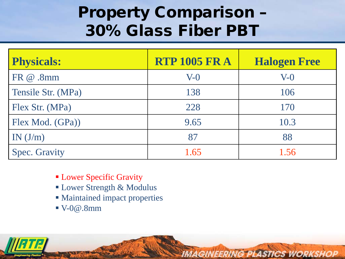#### Property Comparison – 30% Glass Fiber PBT

| <b>Physicals:</b>    | <b>RTP 1005 FR A</b> | <b>Halogen Free</b> |
|----------------------|----------------------|---------------------|
| FR @ .8mm            | $V-0$                | $V-0$               |
| Tensile Str. (MPa)   | 138                  | 106                 |
| Flex Str. (MPa)      | 228                  | 170                 |
| Flex Mod. (GPa))     | 9.65                 | 10.3                |
| IN(J/m)              | 87                   | 88                  |
| <b>Spec. Gravity</b> | 1.65                 | 1.56                |

- **Lower Specific Gravity**
- Lower Strength & Modulus
- Maintained impact properties
- $\blacktriangleright$  V-0 $\omega$ .8mm

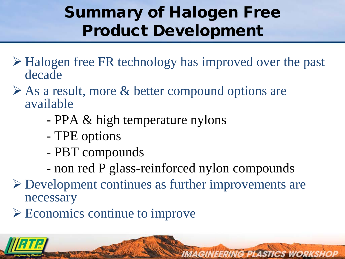#### Summary of Halogen Free Product Development

- Halogen free FR technology has improved over the past decade
- $\triangleright$  As a result, more & better compound options are available
	- PPA & high temperature nylons
	- TPE options
	- PBT compounds
	- non red P glass-reinforced nylon compounds

- Development continues as further improvements are necessary
- Economics continue to improve